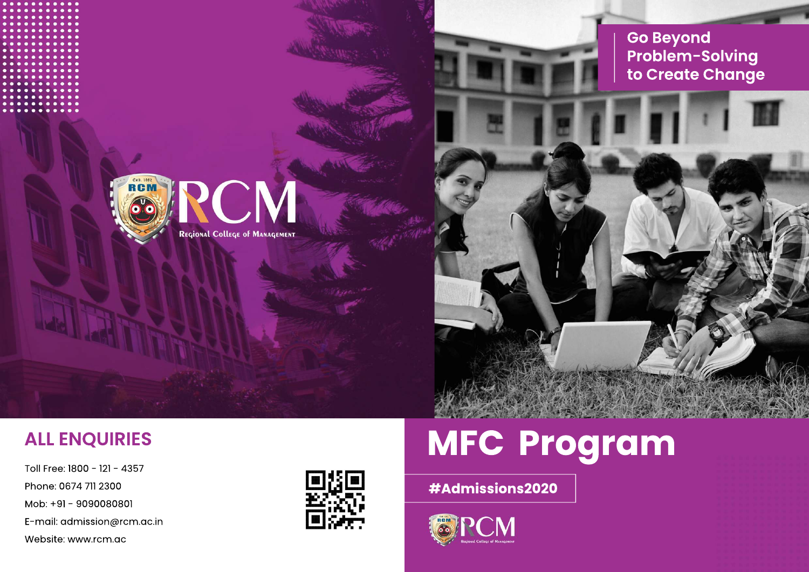# **MFC Program**

### **#Admissions2020**







Toll Free: 1800 - 121 - 4357 Phone: 0674 711 2300 Mob: +91 - 9090080801 E-mail: admission@rcm.ac.in Website: www.rcm.ac



## **ALL ENQUIRIES**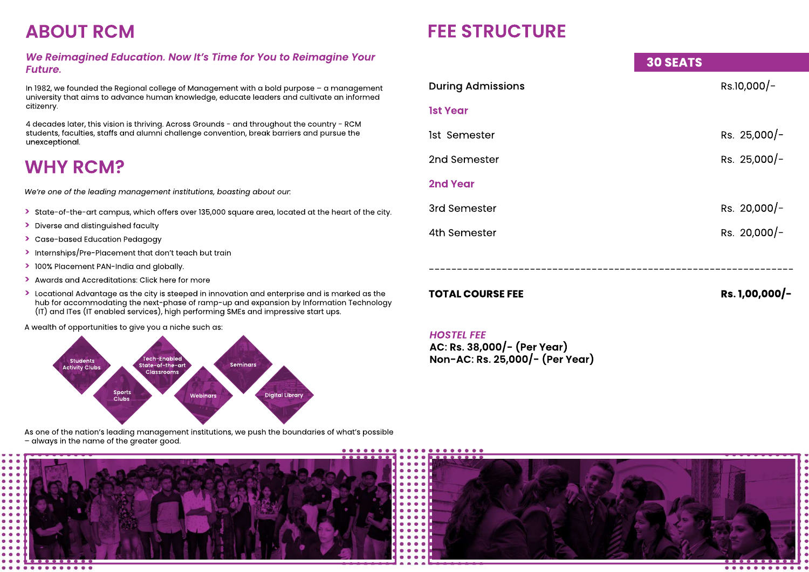### *We Reimagined Education. Now It's Time for You to Reimagine Your Future.*

In 1982, we founded the Regional college of Management with a bold purpose – a management university that aims to advance human knowledge, educate leaders and cultivate an informed citizenry.

4 decades later, this vision is thriving. Across Grounds - and throughout the country - RCM students, faculties, staffs and alumni challenge convention, break barriers and pursue the unexceptional.

## **ABOUT RCM**

*We're one of the leading management institutions, boasting about our:* 

- **>** State-of-the-art campus, which offers over 135,000 square area, located at the heart of the city.
- **>** Diverse and distinguished faculty
- **>**Case-based Education Pedagogy
- **>**Internships/Pre-Placement that don't teach but train
- **>**100% Placement PAN-India and globally.
- **>**Awards and Accreditations: Click here for more
- **>**Locational Advantage as the city is steeped in innovation and enterprise and is marked as the hub for accommodating the next-phase of ramp-up and expansion by Information Technology (IT) and ITes (IT enabled services), high performing SMEs and impressive start ups.

A wealth of opportunities to give you a niche such as:

As one of the nation's leading management institutions, we push the boundaries of what's possible – always in the name of the greater good.



### **WHY RCM?**

*HOSTEL FEE* **AC: Rs. 38,000/- (Per Year) Non-AC: Rs. 25,000/- (Per Year)**

### **30 SEATS**

**1st Year** 

**2nd Year**

-----------------------------------------------------------------

During Admissions **Rs.10,000/-**

- 1st Semester Rs. 25,000/-
- 2nd Semester Rs. 25,000/-
- 3rd Semester Rs. 20,000/-
- 4th Semester Rs. 20,000/-

**TOTAL COURSE FEE** RS. 1,00,000/-

### **FEE STRUCTURE**

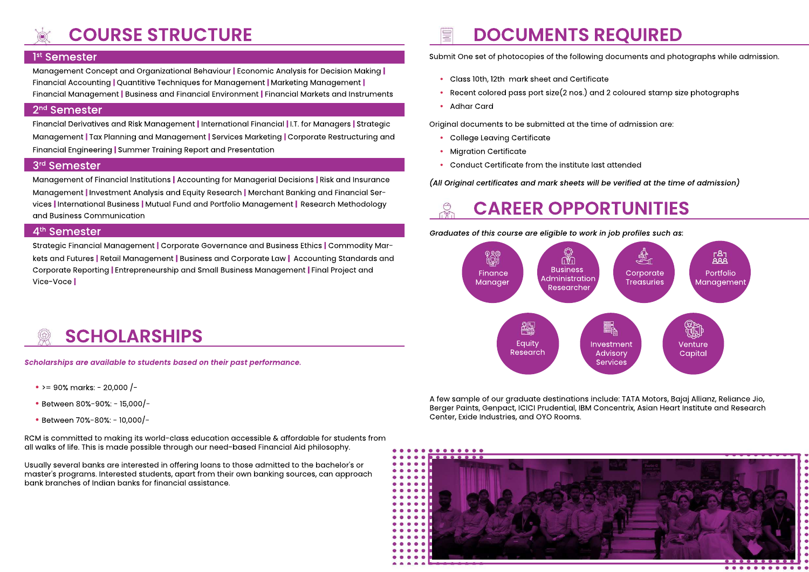Management Concept and Organizational Behaviour **|** Economic Analysis for Decision Making **|** Financial Accounting **|** Quantitive Techniques for Management **|** Marketing Management **|** Financial Management **|** Business and Financial Environment **|** Financial Markets and Instruments

#### 2nd Semester

Financial Derivatives and Risk Management **|** International Financial **|** I.T. for Managers **|** Strategic Management **|** Tax Planning and Management **|** Services Marketing **|** Corporate Restructuring and Financial Engineering **|** Summer Training Report and Presentation

#### 3rd Semester

Management of Financial Institutions **|** Accounting for Managerial Decisions **|** Risk and Insurance Management **|** Investment Analysis and Equity Research **|** Merchant Banking and Financial Services **|** International Business **|** Mutual Fund and Portfolio Management **|** Research Methodology and Business Communication

#### 4<sup>th</sup> Semester

Strategic Financial Management **|** Corporate Governance and Business Ethics **|** Commodity Markets and Futures **|** Retail Management **|** Business and Corporate Law **|** Accounting Standards and Corporate Reporting **|** Entrepreneurship and Small Business Management **|** Final Project and Vice-Voce **|**

# **DOCUMENTS REQUIRED**



Submit One set of photocopies of the following documents and photographs while admission.

- **•** Class 10th, 12th mark sheet and Certificate
- **•** Recent colored pass port size(2 nos.) and 2 coloured stamp size photographs
- **•** Adhar Card

Original documents to be submitted at the time of admission are:

- **•** College Leaving Certificate
- **•** Migration Certificate
- **•** Conduct Certificate from the institute last attended

*(All Original certificates and mark sheets will be verified at the time of admission)*





## **COURSE STRUCTURE**

#### 1<sup>st</sup> Semester

*Scholarships are available to students based on their past performance.* 

- >= 90% marks: 20,000 /-
- Between 80%-90%: 15,000/-
- Between 70%-80%: 10,000/-

RCM is committed to making its world-class education accessible & affordable for students from all walks of life. This is made possible through our need-based Financial Aid philosophy.

Usually several banks are interested in offering loans to those admitted to the bachelor's or master's programs. Interested students, apart from their own banking sources, can approach bank branches of Indian banks for financial assistance.

*Graduates of this course are eligible to work in job profiles such as:*

A few sample of our graduate destinations include: TATA Motors, Bajaj Allianz, Reliance Jio, Berger Paints, Genpact, ICICI Prudential, IBM Concentrix, Asian Heart Institute and Research Center, Exide Industries, and OYO Rooms.